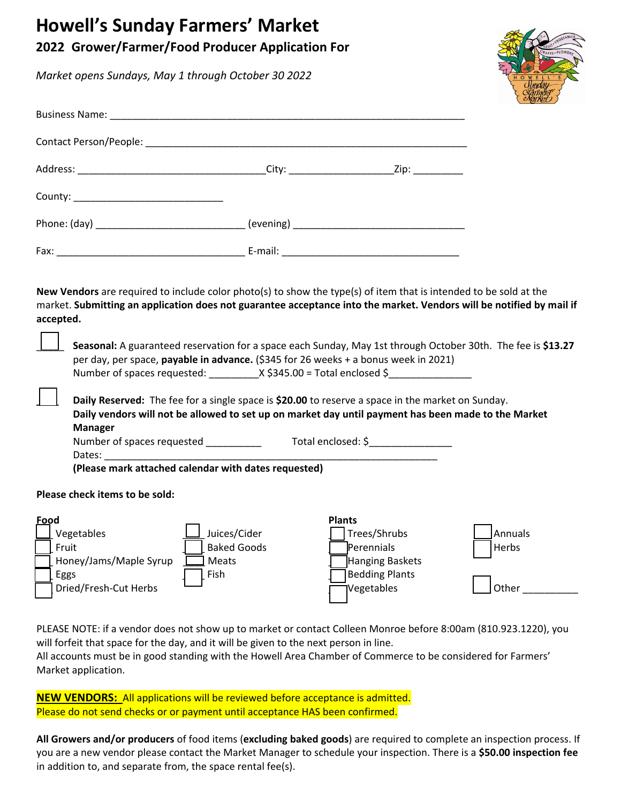# Howell MODIE

#### $20<sup>1</sup>$ **Grwer/Farmer/Food Producer Application For**

| <b>DISPOC</b>                              | 摩                                                                                                                                                                                                                                         |  |
|--------------------------------------------|-------------------------------------------------------------------------------------------------------------------------------------------------------------------------------------------------------------------------------------------|--|
|                                            |                                                                                                                                                                                                                                           |  |
|                                            |                                                                                                                                                                                                                                           |  |
|                                            |                                                                                                                                                                                                                                           |  |
| County: __________________________________ |                                                                                                                                                                                                                                           |  |
|                                            |                                                                                                                                                                                                                                           |  |
|                                            |                                                                                                                                                                                                                                           |  |
| accepted.                                  | New Vendors are required to include color photo(s) to show the type(s) of item that is intended to be sold at the<br>market. Submitting an application does not guarantee acceptance into the market. Vendors will be notified by mail if |  |
|                                            | Seasonal: A guaranteed reservation for a space each Sunday, May 1st through October 30th. The fee is \$13.27                                                                                                                              |  |

| Seasonal: A guaranteed reservation for a space each Sunday, May 1st through October 30th. The fee is \$13.27 |  |
|--------------------------------------------------------------------------------------------------------------|--|
| per day, per space, <b>payable in advance.</b> (\$345 for 26 weeks.                                          |  |
| X \$345.00 = Total enclosed<br>Number of spaces requested:                                                   |  |

Daily Reserved: The fee for a single space is \$20.00 to reserve a space in the market on Sunday. Daily vendors will not be allowed to set up on market day until payment has been made to the Market **Manager** 

|  |  |  | Number of spaces requested |  |  |
|--|--|--|----------------------------|--|--|
|--|--|--|----------------------------|--|--|

### Please check items to be sold:

| Food                   |                    | <b>Plants</b>          |                 |
|------------------------|--------------------|------------------------|-----------------|
| Vegetables             | Juices/Cider       | Trees/Shrubs           | <b>IAnnuals</b> |
| Fruit                  | <b>Baked Goods</b> | Perennials             | Herbs           |
| Honey/Jams/Maple Syrup | Meats              | <b>Hanging Baskets</b> |                 |
| Eggs                   | Fish               | <b>Bedding Plants</b>  |                 |
| Dried/Fresh-Cut Herbs  |                    | Vegetables             | Other           |
|                        |                    |                        |                 |

PLEASE NOTE: if a vendor does not show up to market or contact Colleen Monroe before 8:00am (810.923.1220), you will forfeit that space for the day, and it will be given to the next person in line.

All accounts must be in good standing with the Howell Area Chamber of Commerce to be considered for Farmers[ Market application.

**NEW VENDORS:** All applications will be reviewed before acceptance is admitted. Please do not send checks or or payment until acceptance HAS been confirmed.

All Growers and/or producers of food items (excluding baked goods) are required to complete an inspection process. If you are a new vendor please contact the Market Manager to schedule your inspection. There is a \$50.00 inspection fee in addition to, and separate from, the space rental fee(s).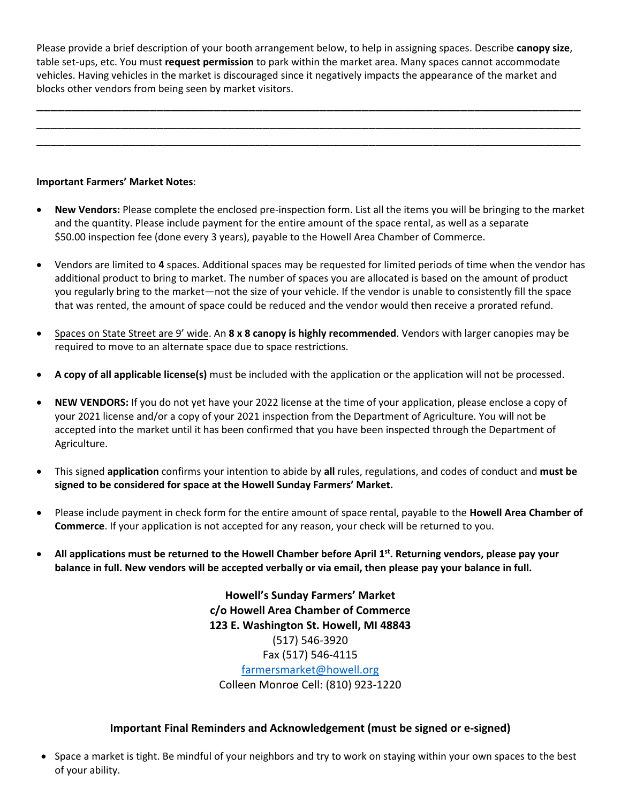Please provide a brief description of your booth arrangement below, to help in assigning spaces. Describe **canopy size**, table set-ups, etc. You must **request permission** to park within the market area. Many spaces cannot accommodate vehicles. Having vehicles in the market is discouraged since it negatively impacts the appearance of the market and blocks other vendors from being seen by market visitors.

\_\_\_\_\_\_\_\_\_\_\_\_\_\_\_\_\_\_\_\_\_\_\_\_\_\_\_\_\_\_\_\_\_\_\_\_\_\_\_\_\_\_\_\_\_\_\_\_\_\_\_\_\_\_\_\_\_\_\_\_\_\_\_\_\_\_\_\_\_\_\_\_\_\_\_\_\_ \_\_\_\_\_\_\_\_\_\_\_\_\_\_\_\_\_\_\_\_\_\_\_\_\_\_\_\_\_\_\_\_\_\_\_\_\_\_\_\_\_\_\_\_\_\_\_\_\_\_\_\_\_\_\_\_\_\_\_\_\_\_\_\_\_\_\_\_\_\_\_\_\_\_\_\_\_ \_\_\_\_\_\_\_\_\_\_\_\_\_\_\_\_\_\_\_\_\_\_\_\_\_\_\_\_\_\_\_\_\_\_\_\_\_\_\_\_\_\_\_\_\_\_\_\_\_\_\_\_\_\_\_\_\_\_\_\_\_\_\_\_\_\_\_\_\_\_\_\_\_\_\_\_\_

### **Important Farmers' Market Notes**:

- Vendors are limited to **4** spaces. Additional spaces may be requested for limited periods of time when the vendor has additional product to bring to market. The number of spaces you are allocated is based on the amount of product you regularly bring to the market—not the size of your vehicle. If the vendor is unable to consistently fill the space that was rented, the amount of space could be reduced and the vendor would then receive a prorated refund.
- Spaces on State Street are 10' X 10' wide.
- **A copy of all applicable license(s)** must be included with the application or the application will not be processed.
- **NEW VENDORS:** If you do not yet have your 2022 license at the time of your application, please enclose a copy of your 2021 license and/or a copy of your 2021 inspection from the Department of Agriculture. You will not be accepted into the market until it has been confirmed that you have been inspected through the Department of Agriculture.
- This signed **application** confirms your intention to abide by **all** rules, regulations, and codes of conduct and **must be signed to be considered for space at the Howell Sunday Farmers' Market.**
- Please include payment in check form for the entire amount of space rental, payable to the **Howell Area Chamber of Commerce**. If your application is not accepted for any reason, your check will be returned to you.
- **All applications must be returned to the Howell Chamber before April 1st. Returning vendors, please pay your balance in full. New vendors will be accepted verbally or via email, then please pay your balance in full.**

**Howell's Sunday Farmers' Market c/o Howell Area Chamber of Commerce 123 E. Washington St. Howell, MI 48843** (517) 546-3920 Fax (517) 546-4115 [farmersmarket@howell.org](mailto:farmersmarket@howell.org) Colleen Monroe Cell: (810) 923-1220

## **Important Final Reminders and Acknowledgement (must be signed or e-signed)**

• Space a market is tight. Be mindful of your neighbors and try to work on staying within your own spaces to the best of your ability.